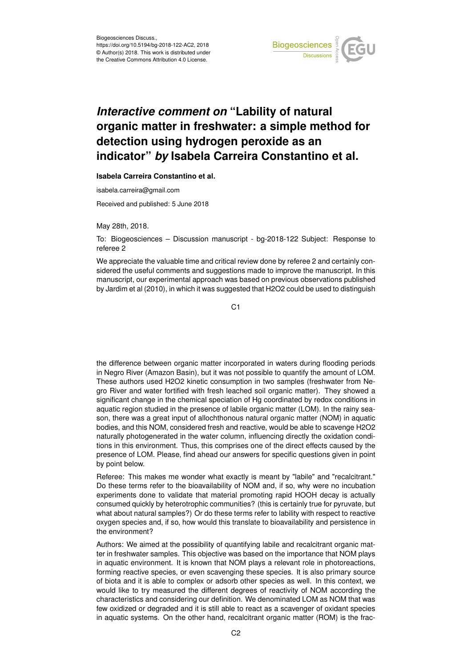

## *Interactive comment on* **"Lability of natural organic matter in freshwater: a simple method for detection using hydrogen peroxide as an indicator"** *by* **Isabela Carreira Constantino et al.**

**Isabela Carreira Constantino et al.**

isabela.carreira@gmail.com

Received and published: 5 June 2018

May 28th, 2018.

To: Biogeosciences – Discussion manuscript - bg-2018-122 Subject: Response to referee 2

We appreciate the valuable time and critical review done by referee 2 and certainly considered the useful comments and suggestions made to improve the manuscript. In this manuscript, our experimental approach was based on previous observations published by Jardim et al (2010), in which it was suggested that H2O2 could be used to distinguish

 $C<sub>1</sub>$ 

the difference between organic matter incorporated in waters during flooding periods in Negro River (Amazon Basin), but it was not possible to quantify the amount of LOM. These authors used H2O2 kinetic consumption in two samples (freshwater from Negro River and water fortified with fresh leached soil organic matter). They showed a significant change in the chemical speciation of Hg coordinated by redox conditions in aquatic region studied in the presence of labile organic matter (LOM). In the rainy season, there was a great input of allochthonous natural organic matter (NOM) in aquatic bodies, and this NOM, considered fresh and reactive, would be able to scavenge H2O2 naturally photogenerated in the water column, influencing directly the oxidation conditions in this environment. Thus, this comprises one of the direct effects caused by the presence of LOM. Please, find ahead our answers for specific questions given in point by point below.

Referee: This makes me wonder what exactly is meant by "labile" and "recalcitrant." Do these terms refer to the bioavailability of NOM and, if so, why were no incubation experiments done to validate that material promoting rapid HOOH decay is actually consumed quickly by heterotrophic communities? (this is certainly true for pyruvate, but what about natural samples?) Or do these terms refer to lability with respect to reactive oxygen species and, if so, how would this translate to bioavailability and persistence in the environment?

Authors: We aimed at the possibility of quantifying labile and recalcitrant organic matter in freshwater samples. This objective was based on the importance that NOM plays in aquatic environment. It is known that NOM plays a relevant role in photoreactions, forming reactive species, or even scavenging these species. It is also primary source of biota and it is able to complex or adsorb other species as well. In this context, we would like to try measured the different degrees of reactivity of NOM according the characteristics and considering our definition. We denominated LOM as NOM that was few oxidized or degraded and it is still able to react as a scavenger of oxidant species in aquatic systems. On the other hand, recalcitrant organic matter (ROM) is the frac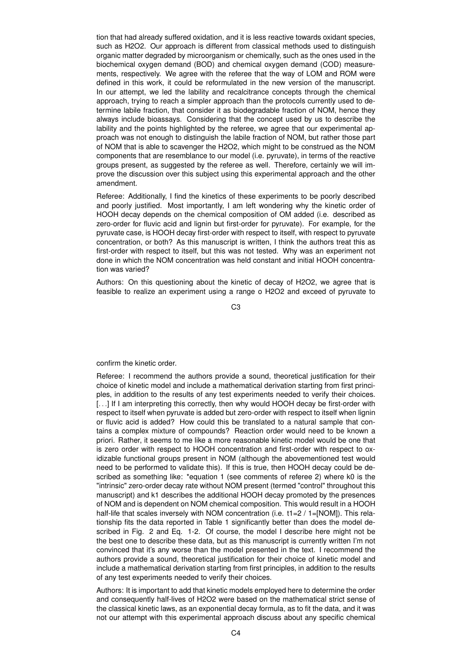tion that had already suffered oxidation, and it is less reactive towards oxidant species, such as H2O2. Our approach is different from classical methods used to distinguish organic matter degraded by microorganism or chemically, such as the ones used in the biochemical oxygen demand (BOD) and chemical oxygen demand (COD) measurements, respectively. We agree with the referee that the way of LOM and ROM were defined in this work, it could be reformulated in the new version of the manuscript. In our attempt, we led the lability and recalcitrance concepts through the chemical approach, trying to reach a simpler approach than the protocols currently used to determine labile fraction, that consider it as biodegradable fraction of NOM, hence they always include bioassays. Considering that the concept used by us to describe the lability and the points highlighted by the referee, we agree that our experimental approach was not enough to distinguish the labile fraction of NOM, but rather those part of NOM that is able to scavenger the H2O2, which might to be construed as the NOM components that are resemblance to our model (i.e. pyruvate), in terms of the reactive groups present, as suggested by the referee as well. Therefore, certainly we will improve the discussion over this subject using this experimental approach and the other amendment.

Referee: Additionally, I find the kinetics of these experiments to be poorly described and poorly justified. Most importantly, I am left wondering why the kinetic order of HOOH decay depends on the chemical composition of OM added (i.e. described as zero-order for fluvic acid and lignin but first-order for pyruvate). For example, for the pyruvate case, is HOOH decay first-order with respect to itself, with respect to pyruvate concentration, or both? As this manuscript is written, I think the authors treat this as first-order with respect to itself, but this was not tested. Why was an experiment not done in which the NOM concentration was held constant and initial HOOH concentration was varied?

Authors: On this questioning about the kinetic of decay of H2O2, we agree that is feasible to realize an experiment using a range o H2O2 and exceed of pyruvate to

C3

confirm the kinetic order.

Referee: I recommend the authors provide a sound, theoretical justification for their choice of kinetic model and include a mathematical derivation starting from first principles, in addition to the results of any test experiments needed to verify their choices. [...] If I am interpreting this correctly, then why would HOOH decay be first-order with respect to itself when pyruvate is added but zero-order with respect to itself when lignin or fluvic acid is added? How could this be translated to a natural sample that contains a complex mixture of compounds? Reaction order would need to be known a priori. Rather, it seems to me like a more reasonable kinetic model would be one that is zero order with respect to HOOH concentration and first-order with respect to oxidizable functional groups present in NOM (although the abovementioned test would need to be performed to validate this). If this is true, then HOOH decay could be described as something like: \*equation 1 (see comments of referee 2) where k0 is the "intrinsic" zero-order decay rate without NOM present (termed "control" throughout this manuscript) and k1 describes the additional HOOH decay promoted by the presences of NOM and is dependent on NOM chemical composition. This would result in a HOOH half-life that scales inversely with NOM concentration (i.e.  $t1=2 / 1 = [NOM]$ ). This relationship fits the data reported in Table 1 significantly better than does the model described in Fig. 2 and Eq. 1-2. Of course, the model I describe here might not be the best one to describe these data, but as this manuscript is currently written I'm not convinced that it's any worse than the model presented in the text. I recommend the authors provide a sound, theoretical justification for their choice of kinetic model and include a mathematical derivation starting from first principles, in addition to the results of any test experiments needed to verify their choices.

Authors: It is important to add that kinetic models employed here to determine the order and consequently half-lives of H2O2 were based on the mathematical strict sense of the classical kinetic laws, as an exponential decay formula, as to fit the data, and it was not our attempt with this experimental approach discuss about any specific chemical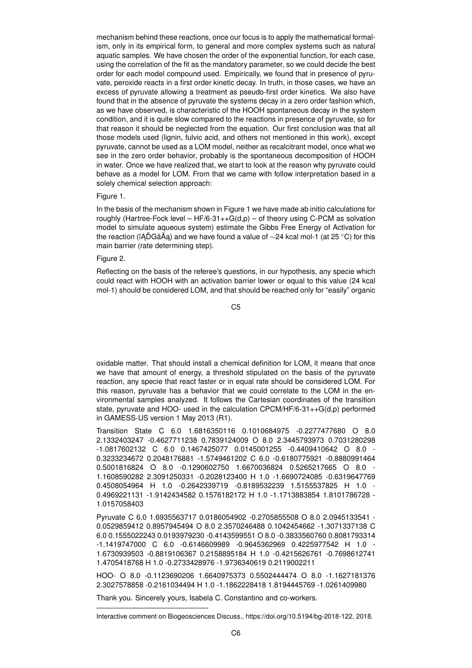mechanism behind these reactions, once our focus is to apply the mathematical formalism, only in its empirical form, to general and more complex systems such as natural aquatic samples. We have chosen the order of the exponential function, for each case, using the correlation of the fit as the mandatory parameter, so we could decide the best order for each model compound used. Empirically, we found that in presence of pyruvate, peroxide reacts in a first order kinetic decay. In truth, in those cases, we have an excess of pyruvate allowing a treatment as pseudo-first order kinetics. We also have found that in the absence of pyruvate the systems decay in a zero order fashion which, as we have observed, is characteristic of the HOOH spontaneous decay in the system condition, and it is quite slow compared to the reactions in presence of pyruvate, so for that reason it should be neglected from the equation. Our first conclusion was that all those models used (lignin, fulvic acid, and others not mentioned in this work), except pyruvate, cannot be used as a LOM model, neither as recalcitrant model, once what we see in the zero order behavior, probably is the spontaneous decomposition of HOOH in water. Once we have realized that, we start to look at the reason why pyruvate could behave as a model for LOM. From that we came with follow interpretation based in a solely chemical selection approach:

## Figure 1.

In the basis of the mechanism shown in Figure 1 we have made ab initio calculations for roughly (Hartree-Fock level –  $HF/6-31++G(d,p)$  – of theory using C-PCM as solvation model to simulate aqueous system) estimate the Gibbs Free Energy of Activation for the reaction (ïAD̆GâÅa) and we have found a value of  $\sim$ 24 kcal mol-1 (at 25 °C) for this main barrier (rate determining step).

## Figure 2.

Reflecting on the basis of the referee's questions, in our hypothesis, any specie which could react with HOOH with an activation barrier lower or equal to this value (24 kcal mol-1) should be considered LOM, and that should be reached only for "easily" organic

C5

oxidable matter. That should install a chemical definition for LOM, it means that once we have that amount of energy, a threshold stipulated on the basis of the pyruvate reaction, any specie that react faster or in equal rate should be considered LOM. For this reason, pyruvate has a behavior that we could correlate to the LOM in the environmental samples analyzed. It follows the Cartesian coordinates of the transition state, pyruvate and HOO- used in the calculation CPCM/HF/6-31++G(d,p) performed in GAMESS-US version 1 May 2013 (R1).

Transition State C 6.0 1.6816350116 0.1010684975 -0.2277477680 O 8.0 2.1332403247 -0.4627711238 0.7839124009 O 8.0 2.3445793973 0.7031280298 -1.0817602132 C 6.0 0.1467425077 0.0145001255 -0.4409410642 O 8.0 - 0.3233234672 0.2048176881 -1.5749461202 C 6.0 -0.6180775921 -0.8880991464 0.5001816824 O 8.0 -0.1290602750 1.6670036824 0.5265217665 O 8.0 - 1.1608590282 2.3091250331 -0.2028123400 H 1.0 -1.6690724085 -0.6319647769 0.4508054964 H 1.0 -0.2642339719 -0.8189532239 1.5155537825 H 1.0 - 0.4969221131 -1.9142434582 0.1576182172 H 1.0 -1.1713883854 1.8101786728 - 1.0157058403

Pyruvate C 6.0 1.6935563717 0.0186054902 -0.2705855508 O 8.0 2.0945133541 - 0.0529859412 0.8957945494 O 8.0 2.3570246488 0.1042454662 -1.3071337138 C 6.0 0.1555022243 0.0193979230 -0.4143599551 O 8.0 -0.3833560760 0.8081793314 -1.1419747000 C 6.0 -0.6146609989 -0.9645362969 0.4225977542 H 1.0 - 1.6730939503 -0.8819106367 0.2158895184 H 1.0 -0.4215626761 -0.7698612741 1.4705418768 H 1.0 -0.2733428976 -1.9736340619 0.2119002211

HOO- O 8.0 -0.1123690206 1.6640975373 0.5502444474 O 8.0 -1.1627181376 2.3027578858 -0.2161034494 H 1.0 -1.1862228418 1.8194445769 -1.0261409980

Thank you. Sincerely yours, Isabela C. Constantino and co-workers.

Interactive comment on Biogeosciences Discuss., https://doi.org/10.5194/bg-2018-122, 2018.